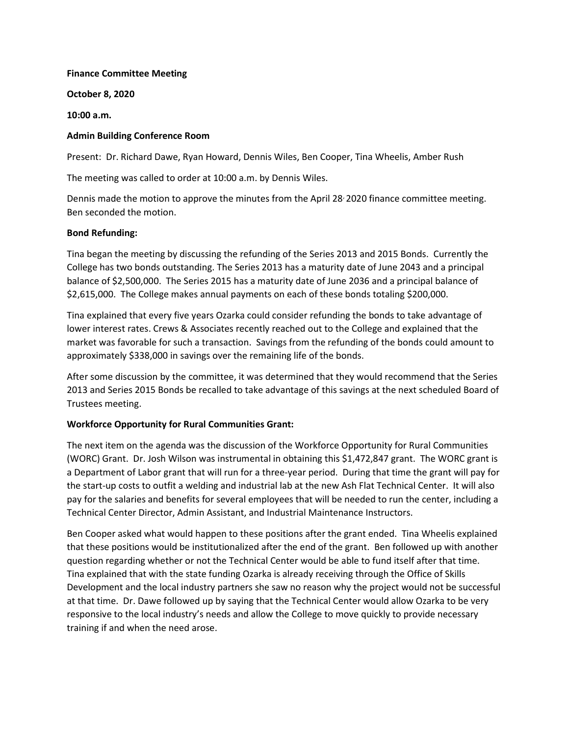#### Finance Committee Meeting

October 8, 2020

10:00 a.m.

## Admin Building Conference Room

Present: Dr. Richard Dawe, Ryan Howard, Dennis Wiles, Ben Cooper, Tina Wheelis, Amber Rush

The meeting was called to order at 10:00 a.m. by Dennis Wiles.

Dennis made the motion to approve the minutes from the April 28, 2020 finance committee meeting. Ben seconded the motion.

#### Bond Refunding:

Tina began the meeting by discussing the refunding of the Series 2013 and 2015 Bonds. Currently the College has two bonds outstanding. The Series 2013 has a maturity date of June 2043 and a principal balance of \$2,500,000. The Series 2015 has a maturity date of June 2036 and a principal balance of \$2,615,000. The College makes annual payments on each of these bonds totaling \$200,000.

Tina explained that every five years Ozarka could consider refunding the bonds to take advantage of lower interest rates. Crews & Associates recently reached out to the College and explained that the market was favorable for such a transaction. Savings from the refunding of the bonds could amount to approximately \$338,000 in savings over the remaining life of the bonds.

After some discussion by the committee, it was determined that they would recommend that the Series 2013 and Series 2015 Bonds be recalled to take advantage of this savings at the next scheduled Board of Trustees meeting.

## Workforce Opportunity for Rural Communities Grant:

The next item on the agenda was the discussion of the Workforce Opportunity for Rural Communities (WORC) Grant. Dr. Josh Wilson was instrumental in obtaining this \$1,472,847 grant. The WORC grant is a Department of Labor grant that will run for a three-year period. During that time the grant will pay for the start-up costs to outfit a welding and industrial lab at the new Ash Flat Technical Center. It will also pay for the salaries and benefits for several employees that will be needed to run the center, including a Technical Center Director, Admin Assistant, and Industrial Maintenance Instructors.

Ben Cooper asked what would happen to these positions after the grant ended. Tina Wheelis explained that these positions would be institutionalized after the end of the grant. Ben followed up with another question regarding whether or not the Technical Center would be able to fund itself after that time. Tina explained that with the state funding Ozarka is already receiving through the Office of Skills Development and the local industry partners she saw no reason why the project would not be successful at that time. Dr. Dawe followed up by saying that the Technical Center would allow Ozarka to be very responsive to the local industry's needs and allow the College to move quickly to provide necessary training if and when the need arose.